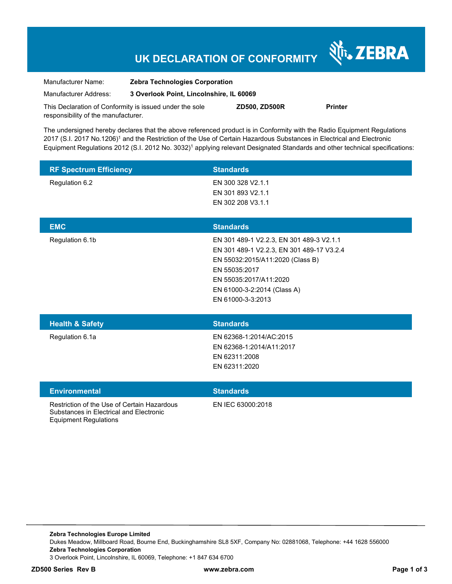# **UK DECLARATION OF CONFORMITY**

Nr. ZEBRA

| Manufacturer Name:                                      | <b>Zebra Technologies Corporation</b>    |                      |                |
|---------------------------------------------------------|------------------------------------------|----------------------|----------------|
| Manufacturer Address:                                   | 3 Overlook Point, Lincolnshire, IL 60069 |                      |                |
| This Declaration of Conformity is issued under the sole |                                          | <b>ZD500, ZD500R</b> | <b>Printer</b> |

The undersigned hereby declares that the above referenced product is in Conformity with the Radio Equipment Regulations 2017 (S.I. 2017 No.1206)<sup>1</sup> and the Restriction of the Use of Certain Hazardous Substances in Electrical and Electronic Equipment Regulations 2012 (S.I. 2012 No. 3032)<sup>1</sup> applying relevant Designated Standards and other technical specifications:

| <b>RF Spectrum Efficiency</b> | <b>Standards</b>  |  |
|-------------------------------|-------------------|--|
| Regulation 6.2                | EN 300 328 V2.1.1 |  |
|                               | EN 301 893 V2.1.1 |  |
|                               | EN 302 208 V3.1.1 |  |
|                               |                   |  |

| <b>EMC</b>                 | <b>Standards</b>                          |
|----------------------------|-------------------------------------------|
| Regulation 6.1b            | EN 301 489-1 V2.2.3, EN 301 489-3 V2.1.1  |
|                            | EN 301 489-1 V2.2.3, EN 301 489-17 V3.2.4 |
|                            | EN 55032:2015/A11:2020 (Class B)          |
|                            | EN 55035:2017                             |
|                            | EN 55035:2017/A11:2020                    |
|                            | EN 61000-3-2:2014 (Class A)               |
|                            | EN 61000-3-3:2013                         |
|                            |                                           |
| <b>Health &amp; Safety</b> | <b>Standards</b>                          |
| Regulation 6.1a            | EN 62368-1:2014/AC:2015                   |

|                                                                                        | EN 62311:2008<br>EN 62311:2020 |
|----------------------------------------------------------------------------------------|--------------------------------|
| <b>Environmental</b>                                                                   | <b>Standards</b>               |
| Restriction of the Use of Certain Hazardous<br>Substances in Electrical and Electronic | EN IEC 63000:2018              |

Equipment Regulations

responsibility of the manufacturer.

EN 62368-1:2014/A11:2017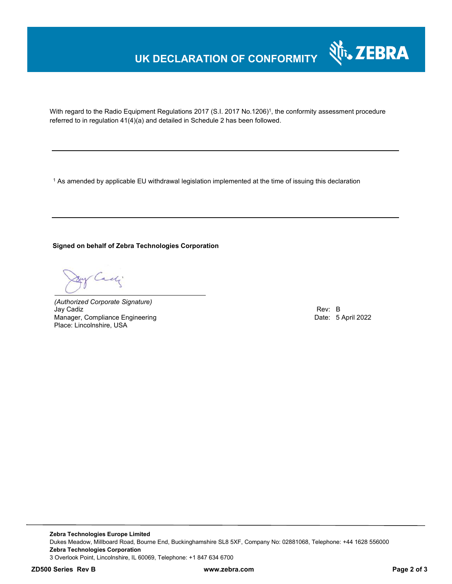## **UK DECLARATION OF CONFORMITY**



With regard to the Radio Equipment Regulations 2017 (S.I. 2017 No.1206)<sup>1</sup>, the conformity assessment procedure referred to in regulation 41(4)(a) and detailed in Schedule 2 has been followed.

 $^{\rm 1}$  As amended by applicable EU withdrawal legislation implemented at the time of issuing this declaration

### **Signed on behalf of Zebra Technologies Corporation**

Cady

*(Authorized Corporate Signature)* Jay Cadiz Rev: B Manager, Compliance Engineering **Date: 5 April 2022** Place: Lincolnshire, USA